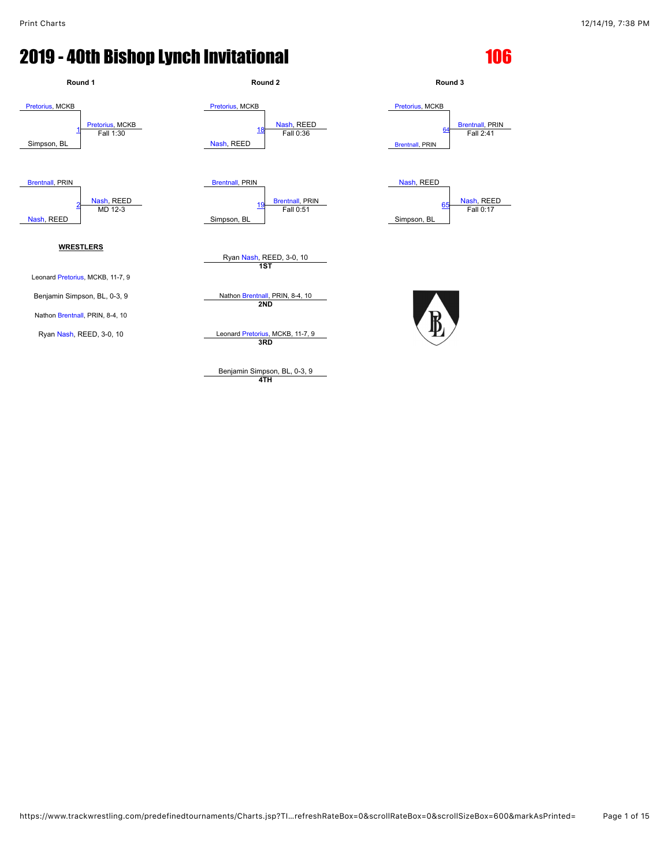

**4TH**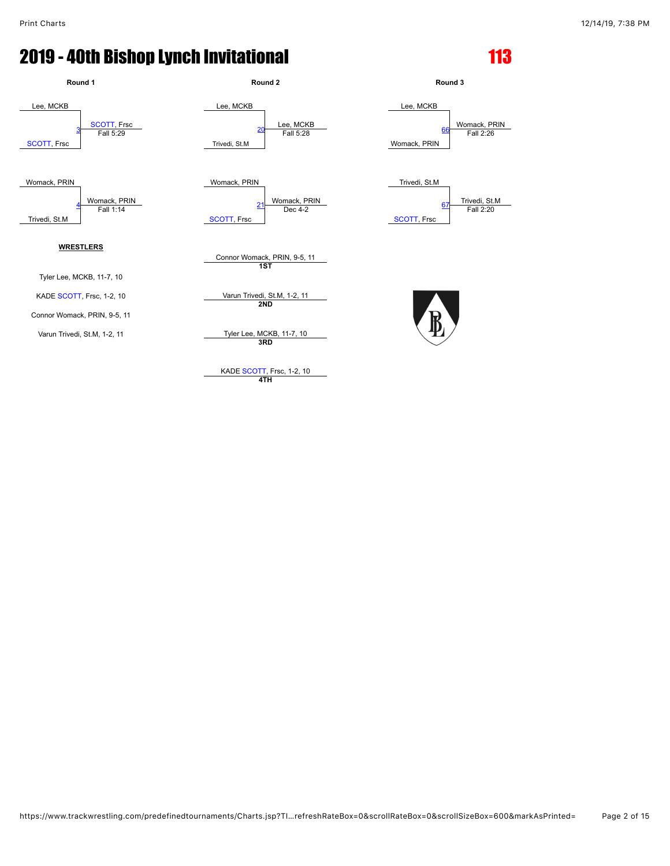

**4TH**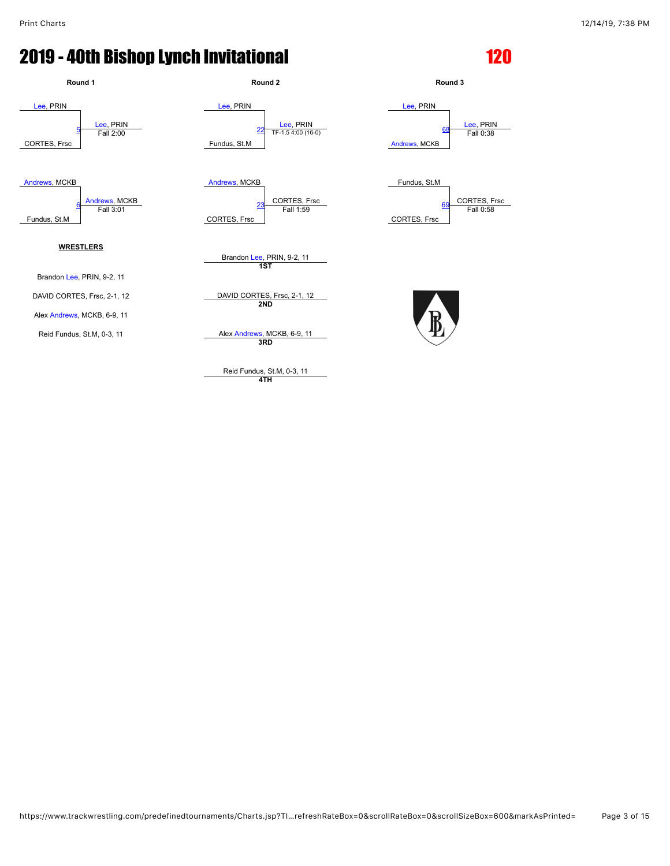

**4TH**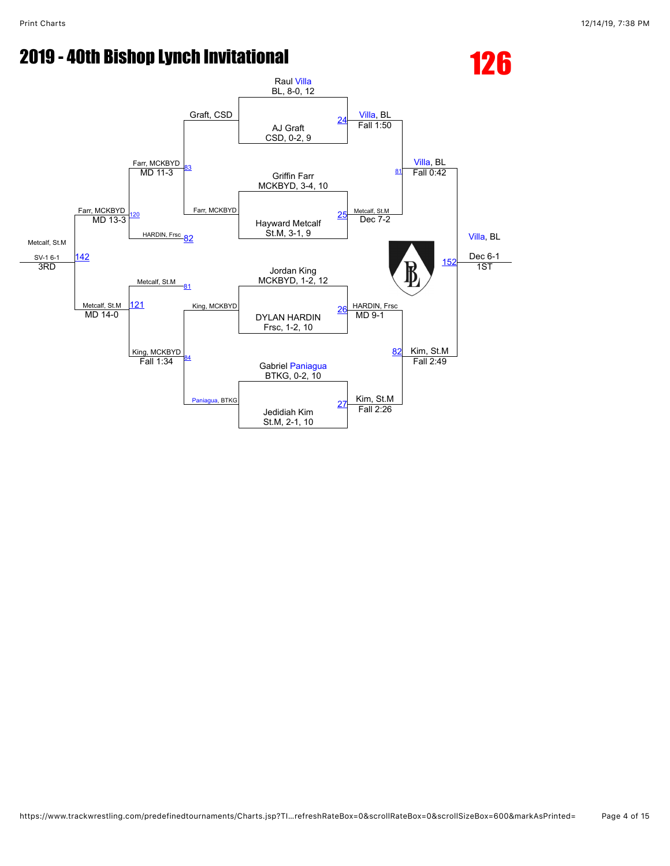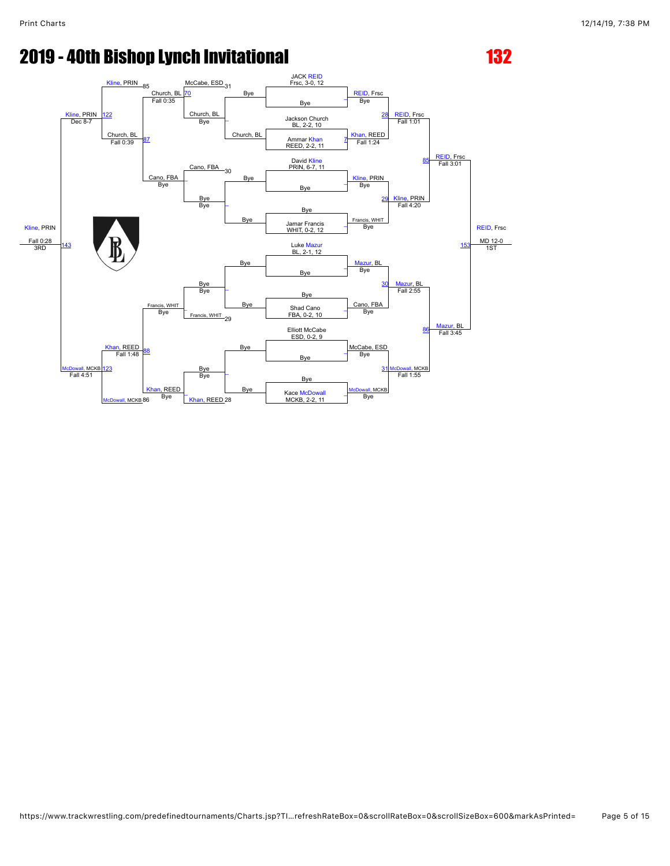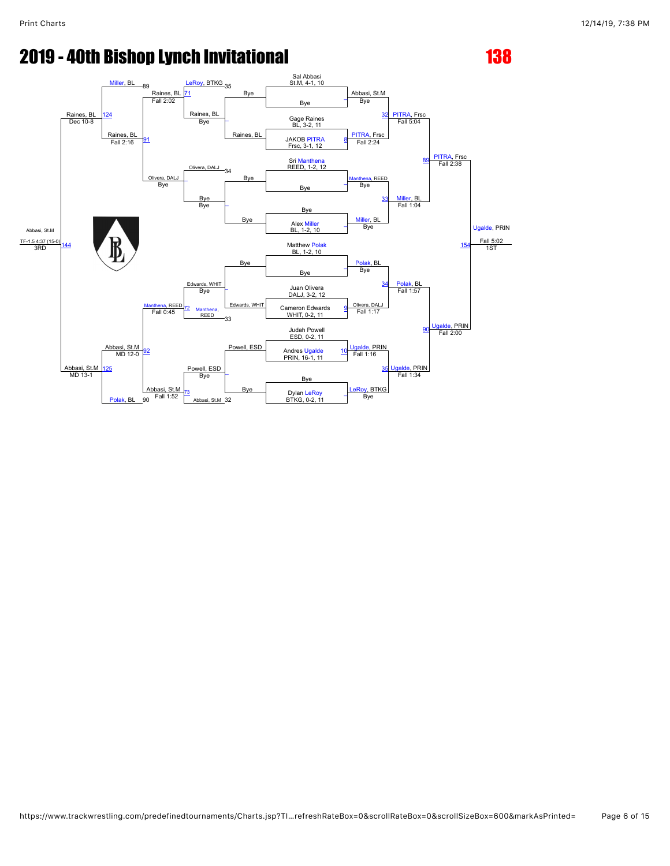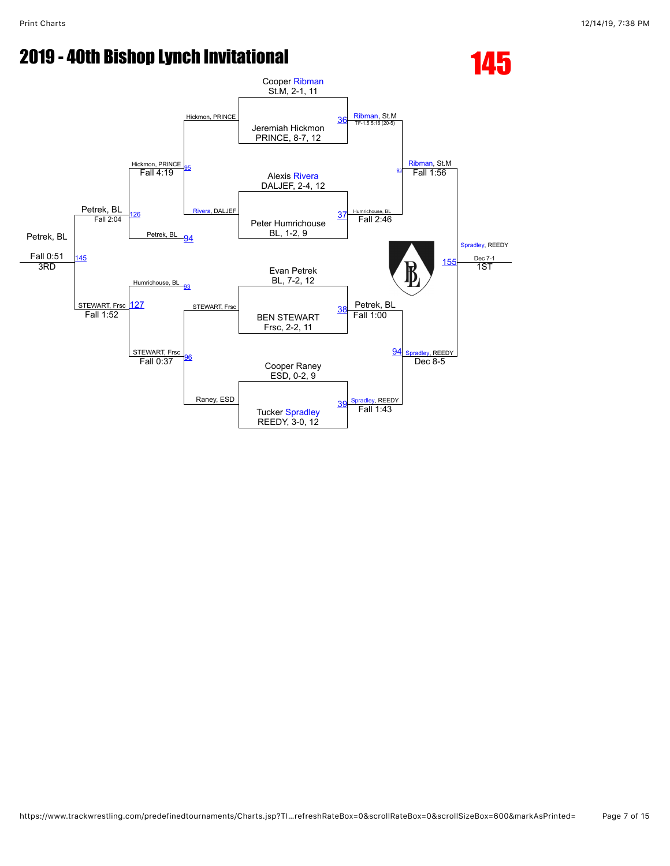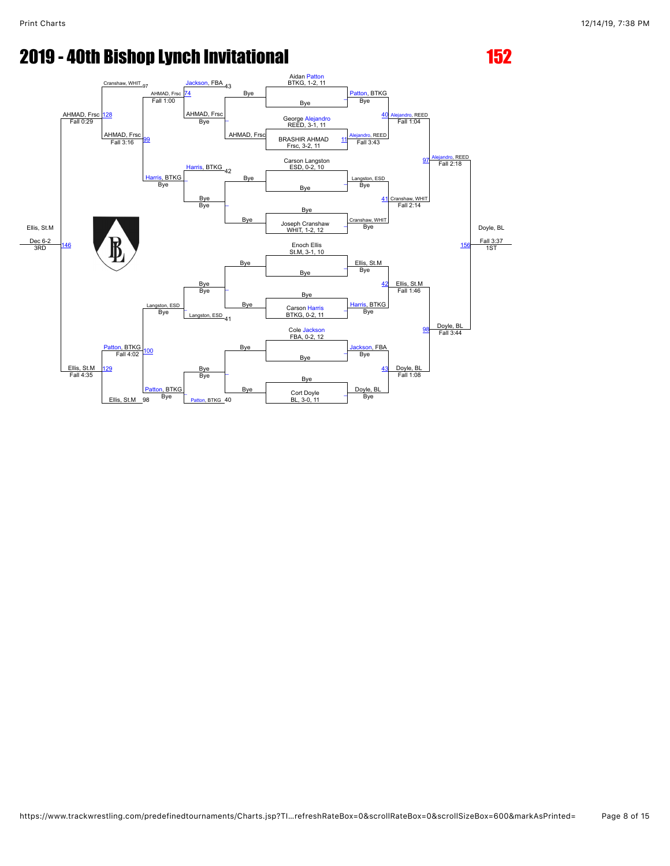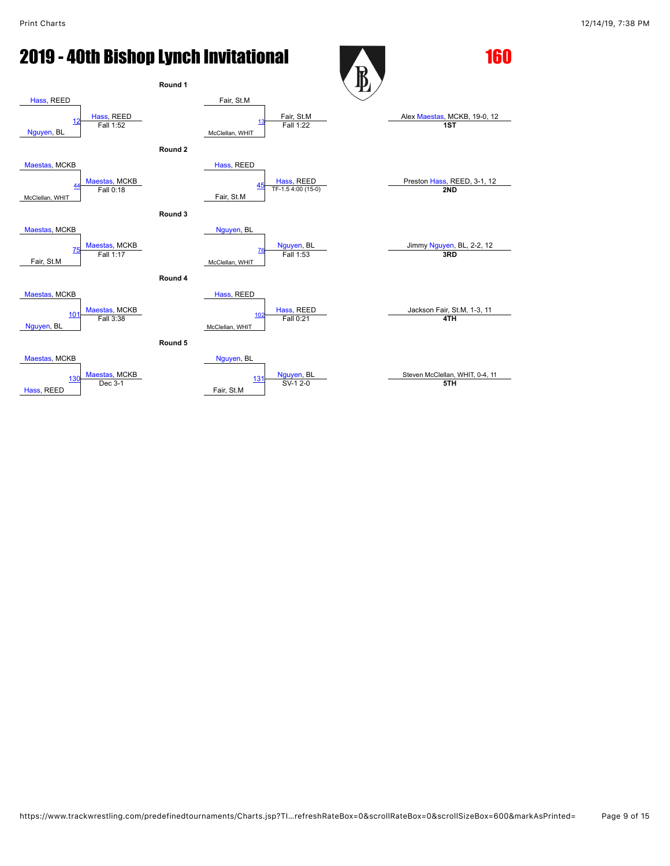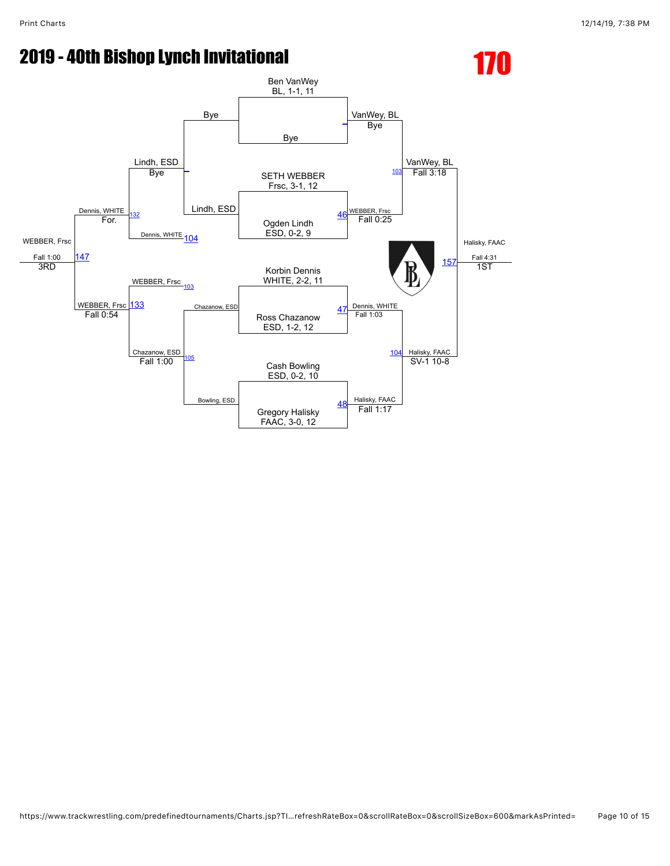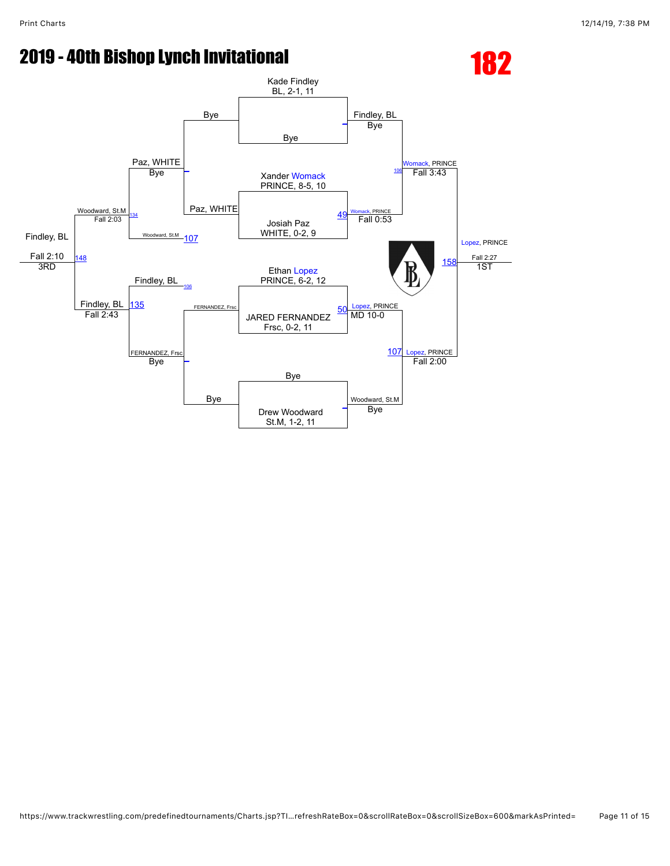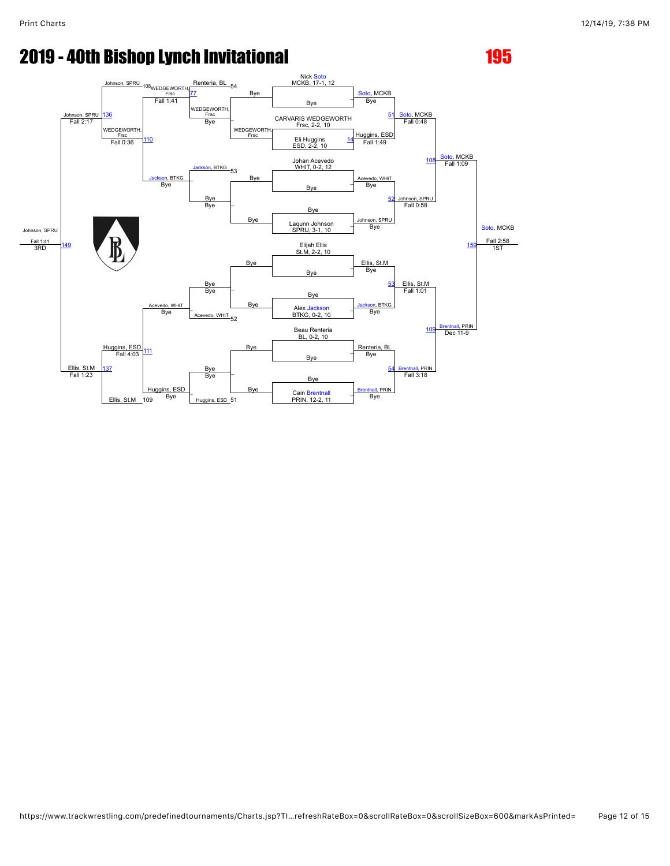Johnson, SPRU Fall 1:41<br>3RD Johnson, SPRL<br>Fall 2:17 <sup>3</sup>WEDGEWORTH Frsc<br>Frsc<br>Fall 1:41 Renteria, BL Bye Nick <mark>[Soto](javascript:viewProfile(1536606096))</mark><br>MCKB, 17-1, 12 , MCKB <mark>[Soto](javascript:viewProfile(1536606096)), MCKB</mark><br>Fall 0:48 [Soto,](javascript:viewProfile(1536606096)) MCKB Fall 1:09 [Soto](javascript:viewProfile(1536606096)), MCKB Fall 2:58 1ST [136](javascript:openBoutSheet(25,) [77](javascript:openBoutSheet(18,) Bye — пасти на процести в процести на программатически программатически программатически просторона и на просторон<br>Гадительности программатических программатических программатических программатических программатических социац VEDGEWORTH <mark>Frsc [\\_](javascript:openBoutSheet(10,)\_\_\_\_</mark><br>Bye WEDGEWORTH, Frsc By<sub>e</sub> CARVARIS WEDGEWORTH [51](javascript:openBoutSheet(9,)<br>Frsc. 2-2. 10  $F$ all 2:17  $F$ <sub>rsc</sub>,  $F$ <sub>rsc</sub>,  $F$ <sub>rsc</sub>,  $F$ <sub>rsc</sub>,  $F$ <sub>rsc</sub>,  $F$ <sub>rsc</sub>,  $F$ <sub>rsc</sub>,  $F$ <sub>rsc</sub>,  $F$ <sub>rsc</sub>,  $F$ <sub>rsc</sub>,  $F$ <sub>rsc</sub>,  $F$ <sub>rsc</sub>,  $F$ <sub>rsc</sub>,  $F$ <sub>rsc</sub>,  $F$ <sub>rsc</sub>,  $F$ <sub>rsc</sub>,  $F$ <sub>rsc</sub>,  $F$ <sub>rsc</sub>,  $F$ <sub>rsc</sub>,  $F$ <sub>rsc</sub>,  $F$ <sub>rsc</sub>, WEDGEWORTH  $F^{\text{RSE}}_{\text{Fall 0:36}}$  [110](javascript:openBoutSheet(23,) Huggins, ESD Fall 1:49 Eli Huggins [14](javascript:openBoutSheet(2,)<br>
Eli Huggins 14<br>
ESD, 2-2, 10 [Jackson,](javascript:viewProfile(186137135)) BTKG 53 Johan Acevedo [108](javascript:openBoutSheet(17,) WHIT, 0-2, 12 <mark>son,</mark> BTKG<br>Bye Bye Acevedo, WHIT Bye  $\frac{B}{B}$  Bye  $\frac{B}{B}$   $\frac{B}{B}$   $\frac{B}{B}$   $\frac{B}{B}$   $\frac{B}{B}$ Bye<br>Bye Bye Bye [52](javascript:openBoutSheet(11,) Johnson, SPRU<br>Fall 0:58 Bye **Bye** Bye SPRI [159](javascript:openBoutSheet(28,) Laqunn Johnson SPRU, 3-1, 10  $\overline{a}$ Bye Bye **[149](javascript:openBoutSheet(27,) MM NUMBER Ellis St.M, 2-2, 10** Bye Ellis, St.M Ellis, St.M Fall 1:01 Ellis, St.M<br>Fall 1:23 Huggins, ESD Fall 4:03 evedo, WHIT Bye  $\overline{a}$  $\overline{\phantom{a}}$ **By** B<sub>v</sub> [53](javascript:openBoutSheet(13,) Bye **Bye** Bye BTKG thall, PRIN Acevedo, WHIT 52 Alex [Jackson](javascript:viewProfile(186137135))<br>Bye Acevedo, WHIT Bye [109](javascript:openBoutSheet(20,) Bye Beau Renteria BL, 0-2, 10 [111](javascript:openBoutSheet(24,) Bye Bye Renteria, BL Dec 11-9 Bye [137](javascript:openBoutSheet(26,) Bye Bye [54](javascript:openBoutSheet(15,) [Brentnall](javascript:viewProfile(627255132)), PRIN Fall 1:23  $\begin{array}{|c|c|c|c|c|}\n\hline\n\end{array}$  Bye  $\begin{array}{|c|c|c|c|}\n\hline\n\end{array}$  Bye Ellis, St.M., 109 Huggins, ESD Bye <mark>itnall,</mark> PRIN<br>Bye Fall 3:18 Huggins, ESD 51 Cain [Brentnall](javascript:viewProfile(627255132))<br>109 Bye Huggins, ESD 51 PRIN, 12-2, 11 Bye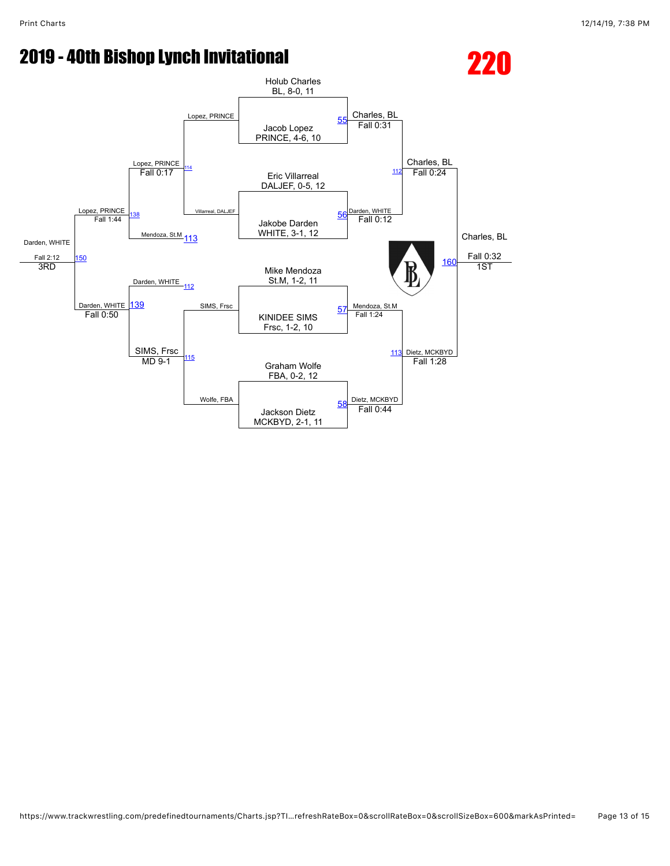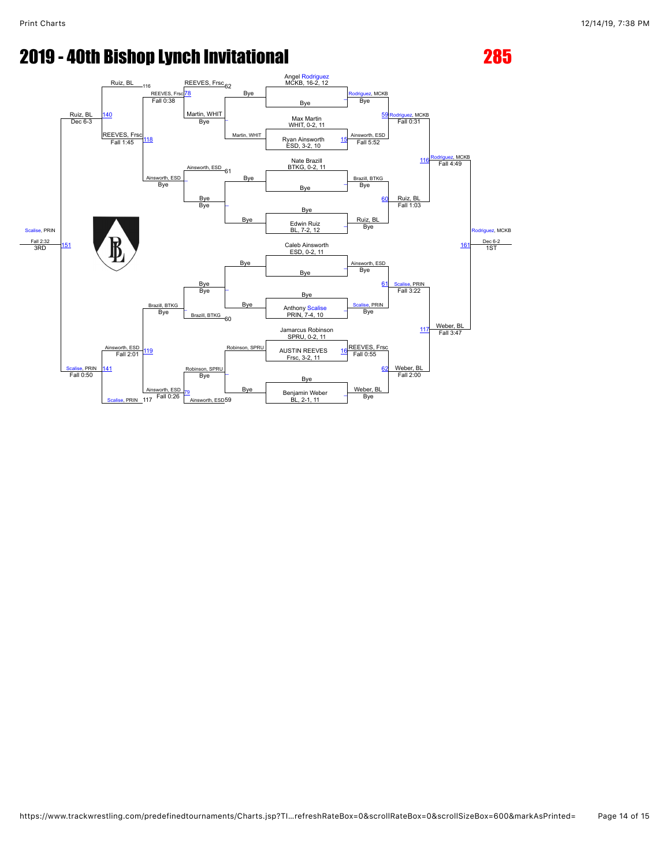